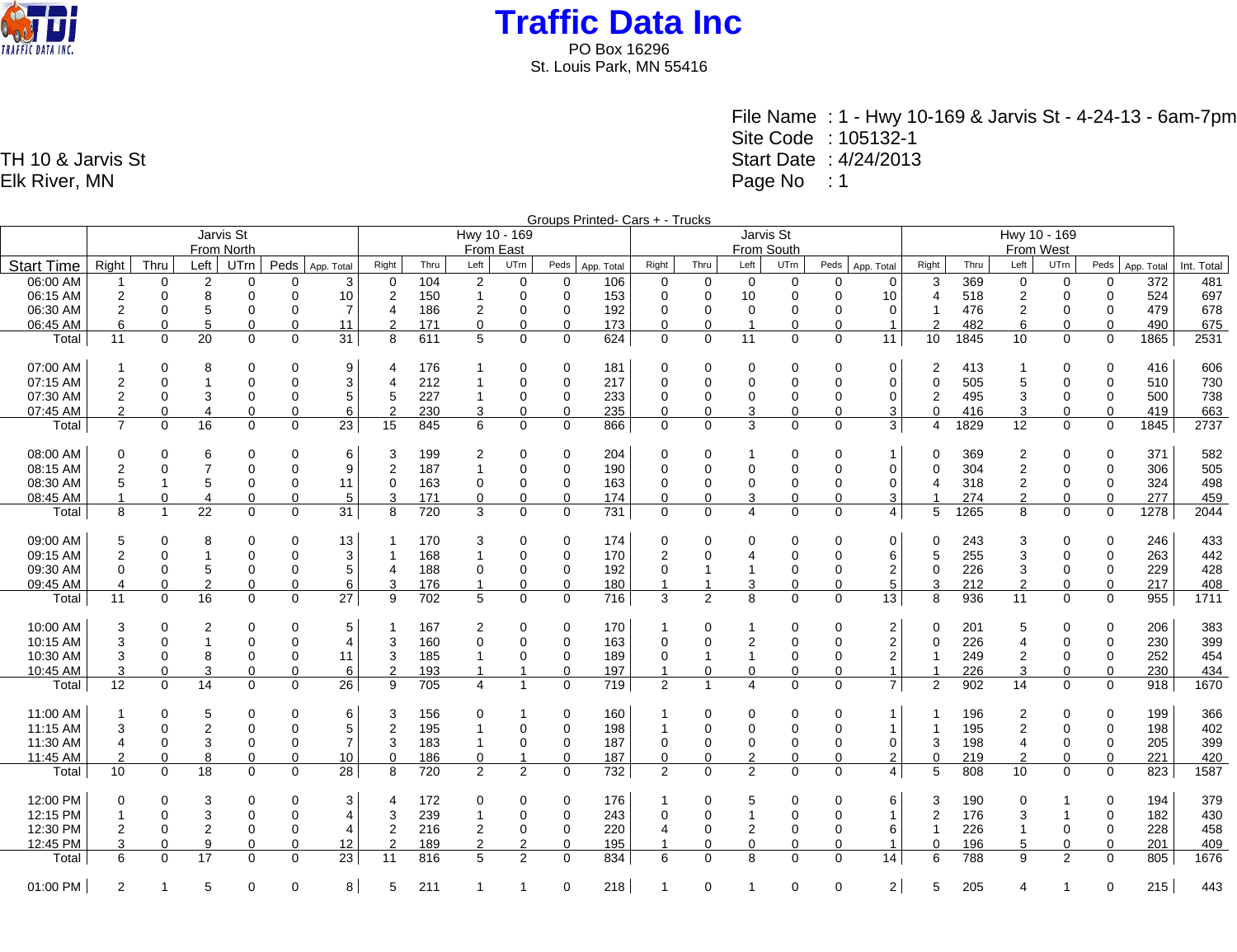

> File Name : 1 - Hwy 10-169 & Jarvis St - 4-24-13 - 6am-7pm Site Code : 105132-1 Start Date : 4/24/2013 Page No : 1

Groups Printed- Cars + - Trucks Jarvis St From North Hwy 10 - 169 From East Jarvis St From South Hwy 10 - 169 From West Start Time Right Thru Left UTrn Peds App. Total Right Thru Left UTrn Peds App. Total Right Thru Left UTrn Peds App. Total Right Thru Left UTrn Peds App. Total Right Thru Left UTrn Peds App. Total Int. Total 06:00 AM | 1 0 2 0 0 3 | 0 104 2 0 0 106 | 0 0 0 0 0 0 | 3 369 0 0 0 372 | 481 06:15 AM 2 0 8 0 0 10 2 150 1 0 0 153 0 0 10 0 0 10 4 518 2 0 0 524 697 06:30 AM 2 0 5 0 0 7 4 186 2 0 0 192 0 0 0 0 0 0 1 476 2 0 0 479 678 06:45 AM 6 0 5 0 0 11 2 171 0 0 0 173 0 0 1 0 0 1 2 482 6 0 0 490 675 Total 11 0 20 0 0 31 8 611 5 0 0 624 0 0 11 0 0 11 10 1845 10 0 0 1865 2531 07:00 AM 1 0 8 0 0 9 4 176 1 0 0 181 0 0 0 0 0 0 2 413 1 0 0 416 606 07:15 AM 2 0 1 0 0 3 4 212 1 0 0 217 0 0 0 0 0 0 0 505 5 0 0 510 730 07:30 AM 2 0 3 0 0 5 5 227 1 0 0 233 0 0 0 0 0 0 2 495 3 0 0 500 738 07:45 AM 2 0 4 0 0 6 2 230 3 0 0 235 0 0 3 0 0 3 0 416 3 0 0 419 663 Total 7 0 16 0 0 23 15 845 6 0 0 866 0 0 3 0 0 3 4 1829 12 0 0 1845 2737 08:00 AM 0 0 6 0 0 6 3 199 2 0 0 204 0 0 1 0 0 1 0 369 2 0 0 371 582 08:15 AM 2 0 7 0 0 9 2 187 1 0 0 190 0 0 0 0 0 0 0 304 2 0 0 306 505 08:30 AM 5 1 5 0 0 11 0 163 0 0 0 163 0 0 0 0 0 0 4 318 2 0 0 324 498 08:45 AM 1 0 4 0 0 5 3 171 0 0 0 174 0 0 3 0 0 3 1 274 2 0 0 277 459 Total 8 1 22 0 0 31 8 720 3 0 0 731 0 0 4 0 0 4 5 1265 8 0 0 1278 2044 09:00 AM 5 0 8 0 0 13 1 170 3 0 0 174 0 0 0 0 0 0 0 243 3 0 0 246 433 09:15 AM 2 0 1 0 0 3 1 168 1 0 0 170 2 0 4 0 0 6 5 255 3 0 0 263 442 09:30 AM 0 0 5 0 0 5 4 188 0 0 0 192 0 1 1 0 0 2 0 226 3 0 0 229 428 09:45 AM 4 0 2 0 0 6 3 176 1 0 0 180 1 1 3 0 0 5 3 212 2 0 0 217 408 Total 11 0 16 0 0 27 9 702 5 0 0 716 3 2 8 0 0 13 8 936 11 0 0 955 1711 10:00 AM 3 0 2 0 0 5 1 167 2 0 0 170 1 0 1 0 0 2 0 201 5 0 0 206 383 10:15 AM 3 0 1 0 0 4 3 160 0 0 0 163 0 0 2 0 0 2 0 226 4 0 0 230 399 10:30 AM 3 0 8 0 0 11 3 185 1 0 0 189 0 1 1 0 0 2 1 249 2 0 0 252 454 10:45 AM 3 0 3 0 0 6 2 193 1 1 0 197 1 0 0 0 0 1 1 226 3 0 0 230 434 Total 12 0 14 0 0 26 9 705 4 1 0 719 2 1 4 0 0 7 2 902 14 0 0 918 1670 11:00 AM 1 0 5 0 0 6 3 156 0 1 0 160 1 0 0 0 0 1 1 196 2 0 0 199 366 11:15 AM | 3 0 2 0 0 5 | 2 195 1 0 0 198 | 1 0 0 0 0 1 1 1 195 2 0 0 198 | 402 11:30 AM | 4 0 3 0 0 7 | 3 183 1 0 0 187 | 0 0 0 0 0 3 198 4 0 0 205 | 399 11:45 AM 2 0 8 0 0 10 0 186 0 1 0 187 0 0 2 0 0 2 0 219 2 0 0 221 420 Total 10 0 18 0 0 28 8 720 2 2 0 732 2 0 2 0 0 4 5 808 10 0 0 823 1587 12:00 PM 0 0 3 0 0 3 4 172 0 0 0 176 1 0 5 0 0 6 3 190 0 1 0 194 379 12:15 PM 1 0 3 0 0 4 3 239 1 0 0 243 0 0 1 0 0 1 2 176 3 1 0 182 430 12:30 PM 2 0 2 0 0 4 2 216 2 0 0 220 4 0 2 0 0 6 1 226 1 0 0 228 458 12:45 PM 3 0 9 0 0 12 2 189 2 2 0 195 1 0 0 0 0 1 0 196 5 0 0 201 409

Total 6 0 17 0 0 23 11 816 5 2 0 834 6 0 8 0 0 14 6 788 9 2 0 805 1676

01:00 PM 2 1 5 0 0 8 5 211 1 1 0 218 1 0 1 0 0 2 5 205 4 1 0 215 443

TH 10 & Jarvis St Elk River, MN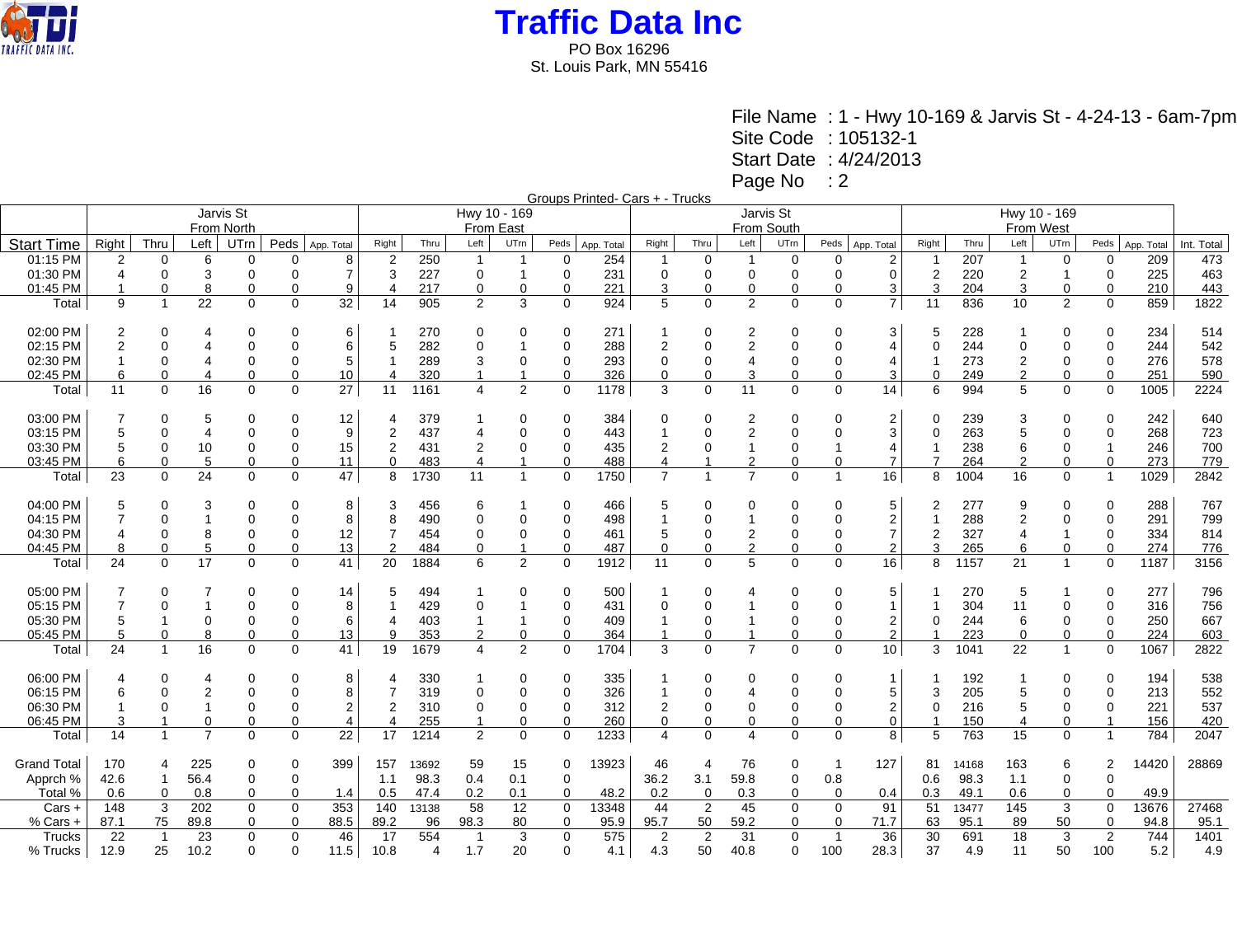

File Name : 1 - Hwy 10-169 & Jarvis St - 4-24-13 - 6am-7pm Site Code : 105132-1 Start Date : 4/24/2013 Page No : 2

Groups Printed- Cars + - Trucks

|                    | Jarvis St      |                         |                |             |          |                | Hwy 10 - 169   |       |                |                |             |            | Jarvis St      |                |                |             |                          |                         |                | Hwy 10 - 169 |                |                |                |            |            |  |
|--------------------|----------------|-------------------------|----------------|-------------|----------|----------------|----------------|-------|----------------|----------------|-------------|------------|----------------|----------------|----------------|-------------|--------------------------|-------------------------|----------------|--------------|----------------|----------------|----------------|------------|------------|--|
|                    | From North     |                         |                |             |          |                | From East      |       |                |                |             |            |                | From South     |                |             |                          |                         |                |              | From West      |                |                |            |            |  |
| <b>Start Time</b>  | Right          | Thru                    | Left           | UTrn        | Peds     | App. Total     | Right          | Thru  | Left           | UTrn           | Peds        | App. Total | Right          | Thru           | Left           | UTm         | Peds                     | App. Total              | Right          | Thru         | Left           | UTrn           | Peds           | App. Total | Int. Total |  |
| 01:15 PM           | $\overline{2}$ | 0                       | 6              | $\Omega$    | O        | 8              | $\overline{2}$ | 250   | -1             | -1             | 0           | 254        |                | $\Omega$       | -1             | 0           | 0                        | $\overline{2}$          |                | 207          | 1              | 0              | $\Omega$       | 209        | 473        |  |
| 01:30 PM           | $\overline{4}$ | $\Omega$                | 3              | $\Omega$    | $\Omega$ | $\overline{7}$ | 3              | 227   | 0              |                | $\Omega$    | 231        | $\Omega$       | $\Omega$       | 0              | $\Omega$    | $\Omega$                 | $\Omega$                | 2              | 220          | $\overline{c}$ | $\overline{1}$ | $\Omega$       | 225        | 463        |  |
| 01:45 PM           |                | 0                       | 8              | $\mathbf 0$ | 0        | 9              | $\overline{4}$ | 217   | 0              | $\overline{0}$ | 0           | 221        | 3              |                | 0              | $\mathbf 0$ | 0                        | 3                       | 3              | 204          | 3              | $\mathbf 0$    | 0              | 210        | 443        |  |
| Total              | 9              | $\mathbf{1}$            | 22             | 0           | 0        | 32             | 14             | 905   | 2              | 3              | 0           | 924        | 5              | $\Omega$       | $\overline{2}$ | $\mathbf 0$ | $\Omega$                 | $\overline{7}$          | 11             | 836          | 10             | 2              | 0              | 859        | 1822       |  |
| 02:00 PM           | 2              | $\Omega$                | 4              | $\Omega$    | $\Omega$ | 6              |                | 270   | 0              | $\Omega$       | 0           | 271        | 1              | $\Omega$       | 2              | 0           | $\Omega$                 | 3                       | 5              | 228          | 1              | $\Omega$       | $\Omega$       | 234        | 514        |  |
| 02:15 PM           | $\overline{2}$ | $\Omega$                |                | $\Omega$    | $\Omega$ | 6              | 5              | 282   | 0              |                | $\Omega$    | 288        | $\overline{2}$ | $\Omega$       | 2              | $\Omega$    | $\Omega$                 | $\overline{4}$          | $\Omega$       | 244          | $\mathbf 0$    | $\mathbf 0$    | $\Omega$       | 244        | 542        |  |
| 02:30 PM           |                | 0                       |                | $\mathbf 0$ | 0        | 5              | -1             | 289   | 3              | 0              | 0           | 293        | 0              | $\Omega$       | 4              | 0           | 0                        | $\overline{4}$          | -1             | 273          | $\overline{2}$ | $\mathbf 0$    | 0              | 276        | 578        |  |
| 02:45 PM           | 6              | $\Omega$                |                | $\mathbf 0$ | 0        | 10             | $\overline{4}$ | 320   |                |                | 0           | 326        | 0              |                |                | 0           | $\Omega$                 | 3                       | $\Omega$       | 249          | $\overline{2}$ | 0              | 0              | 251        | 590        |  |
| Total              | 11             | $\Omega$                | 16             | $\mathbf 0$ | $\Omega$ | 27             | 11             | 1161  | 4              | $\overline{2}$ | $\Omega$    | 1178       | 3              | $\Omega$       | 11             | $\mathbf 0$ | $\Omega$                 | 14                      | 6              | 994          | 5              | $\mathbf 0$    | $\mathbf 0$    | 1005       | 2224       |  |
| 03:00 PM           |                | $\Omega$                | 5              | $\Omega$    | $\Omega$ | 12             | $\overline{4}$ | 379   |                | $\Omega$       | 0           | 384        | 0              | $\Omega$       | 2              | $\mathbf 0$ | $\Omega$                 | $\overline{2}$          | 0              | 239          | 3              | 0              | $\Omega$       | 242        | 640        |  |
| 03:15 PM           | 5              | $\Omega$                | $\overline{4}$ | $\Omega$    | $\Omega$ | 9              | $\overline{2}$ | 437   | 4              | $\Omega$       | 0           | 443        | 1              | $\Omega$       | 2              | $\mathbf 0$ | $\Omega$                 | 3                       | 0              | 263          | 5              | 0              | 0              | 268        | 723        |  |
| 03:30 PM           | 5              | 0                       | 10             | $\mathbf 0$ | 0        | 15             | $\overline{2}$ | 431   | 2              | 0              | 0           | 435        | 2              | 0              |                | $\mathbf 0$ | 1                        | 4                       | -1             | 238          | 6              | 0              |                | 246        | 700        |  |
| 03:45 PM           | 6              | $\Omega$                | 5              | $\Omega$    | $\Omega$ | 11             | $\Omega$       | 483   | 4              |                | $\mathbf 0$ | 488        | 4              |                | 2              | $\mathbf 0$ | $\mathbf 0$              | $\overline{7}$          | $\overline{7}$ | 264          | $\overline{2}$ | $\mathbf 0$    | $\Omega$       | 273        | 779        |  |
| Total              | 23             | $\Omega$                | 24             | $\Omega$    | $\Omega$ | 47             | 8              | 1730  | 11             | $\overline{1}$ | $\Omega$    | 1750       | $\overline{7}$ |                | $\overline{7}$ | $\Omega$    | $\overline{1}$           | 16                      | 8              | 1004         | 16             | $\mathbf 0$    | $\overline{1}$ | 1029       | 2842       |  |
| 04:00 PM           | 5              | 0                       | 3              | 0           | 0        | 8              | 3              | 456   | 6              |                | 0           | 466        | 5              | 0              | 0              | 0           | 0                        | 5                       | 2              | 277          | 9              | 0              | 0              | 288        | 767        |  |
| 04:15 PM           | $\overline{7}$ | $\Omega$                |                | $\Omega$    | $\Omega$ | 8              | 8              | 490   | 0              | $\Omega$       | $\Omega$    | 498        | 1              | $\Omega$       |                | $\Omega$    | $\Omega$                 | $\sqrt{2}$              | $\overline{1}$ | 288          | $\sqrt{2}$     | $\overline{0}$ | $\Omega$       | 291        | 799        |  |
| 04:30 PM           |                | 0                       | 8              | $\mathbf 0$ | $\Omega$ | 12             | 7              | 454   | 0              | 0              | 0           | 461        | 5              | $\Omega$       | 2              | 0           | 0                        | $\overline{7}$          | 2              | 327          | $\overline{4}$ |                | 0              | 334        | 814        |  |
| 04:45 PM           | 8              | $\Omega$                | 5              | 0           | 0        | 13             | $\overline{2}$ | 484   | 0              |                | 0           | 487        | $\mathbf 0$    | $\Omega$       | $\overline{2}$ | $\mathbf 0$ | $\Omega$                 | $\overline{2}$          | 3              | 265          | 6              | $\mathbf 0$    | $\mathbf 0$    | 274        | 776        |  |
| Total              | 24             | $\Omega$                | 17             | $\Omega$    | $\Omega$ | 41             | 20             | 1884  | 6              | $\overline{2}$ | $\Omega$    | 1912       | 11             | $\Omega$       | 5              | $\Omega$    | $\Omega$                 | 16                      | 8              | 1157         | 21             | $\mathbf{1}$   | $\Omega$       | 1187       | 3156       |  |
| 05:00 PM           | 7              | 0                       |                | 0           | 0        | 14             | 5              | 494   |                | $\Omega$       | 0           | 500        | 1              | 0              |                | 0           | 0                        | 5                       |                | 270          | 5              |                | 0              | 277        | 796        |  |
| 05:15 PM           | $\overline{7}$ | $\Omega$                |                | $\Omega$    | $\Omega$ | 8              |                | 429   | 0              |                | $\mathbf 0$ | 431        | $\Omega$       | $\Omega$       |                | $\Omega$    | $\Omega$                 | $\mathbf{1}$            | -1             | 304          | 11             | $\pmb{0}$      | $\Omega$       | 316        | 756        |  |
| 05:30 PM           | 5              |                         | 0              | $\Omega$    | $\Omega$ | 6              | $\Delta$       | 403   |                |                | 0           | 409        |                |                |                | $\Omega$    | $\Omega$                 | $\overline{2}$          | 0              | 244          | 6              | $\mathbf 0$    | 0              | 250        | 667        |  |
| 05:45 PM           | 5              | $\Omega$                | 8              | $\mathbf 0$ | $\Omega$ | 13             | 9              | 353   | $\overline{2}$ | $\Omega$       | 0           | 364        |                |                |                | $\Omega$    | $\Omega$                 | $\overline{2}$          |                | 223          | $\Omega$       | 0              | $\Omega$       | 224        | 603        |  |
| Total              | 24             | $\mathbf{1}$            | 16             | $\Omega$    | 0        | 41             | 19             | 1679  | 4              | $\overline{2}$ | $\Omega$    | 1704       | 3              | $\Omega$       | $\overline{7}$ | $\Omega$    | 0                        | 10                      | 3              | 1041         | 22             | $\overline{1}$ | $\Omega$       | 1067       | 2822       |  |
| 06:00 PM           | 4              | $\Omega$                | 4              | $\Omega$    | 0        | 8              |                | 330   |                | 0              | 0           | 335        |                |                | 0              | 0           | 0                        | $\mathbf 1$             |                | 192          |                | 0              | $\Omega$       | 194        | 538        |  |
| 06:15 PM           | 6              | $\Omega$                | 2              | $\Omega$    | $\Omega$ | 8              | $\overline{7}$ | 319   | 0              | $\Omega$       | 0           | 326        | 1              |                |                | $\mathbf 0$ | $\Omega$                 | 5                       | 3              | 205          | 5              | $\mathbf 0$    | $\Omega$       | 213        | 552        |  |
| 06:30 PM           |                | $\Omega$                |                | $\Omega$    | $\Omega$ | $\sqrt{2}$     | $\overline{2}$ | 310   | 0              | 0              | 0           | 312        | 2              | 0              | 0              | 0           | $\Omega$                 | $\overline{\mathbf{c}}$ | 0              | 216          | 5              | 0              | 0              | 221        | 537        |  |
| 06:45 PM           | 3              |                         | 0              | $\Omega$    | $\Omega$ | 4              | $\overline{4}$ | 255   |                | $\Omega$       | 0           | 260        | 0              | $\Omega$       | 0              | $\mathbf 0$ | $\Omega$                 | $\mathbf 0$             |                | 150          | 4              | 0              |                | 156        | 420        |  |
| Total              | 14             | 1                       | $\overline{7}$ | $\mathbf 0$ | 0        | 22             | 17             | 1214  | 2              | 0              | 0           | 1233       | 4              | $\Omega$       | 4              | $\mathbf 0$ | $\Omega$                 | 8                       | 5              | 763          | 15             | 0              | -1             | 784        | 2047       |  |
| <b>Grand Total</b> | 170            | 4                       | 225            | $\mathbf 0$ | $\Omega$ | 399            | 157            | 13692 | 59             | 15             | 0           | 13923      | 46             | 4              | 76             | 0           | -1                       | 127                     | 81             | 14168        | 163            | 6              | $\overline{2}$ | 14420      | 28869      |  |
| Apprch %           | 42.6           | -1                      | 56.4           | $\mathbf 0$ | 0        |                | 1.1            | 98.3  | 0.4            | 0.1            | 0           |            | 36.2           | 3.1            | 59.8           | $\mathbf 0$ | 0.8                      |                         | 0.6            | 98.3         | 1.1            | $\mathbf 0$    | 0              |            |            |  |
| Total %            | 0.6            | $\Omega$                | 0.8            | $\Omega$    | $\Omega$ | 1.4            | 0.5            | 47.4  | 0.2            | 0.1            | $\Omega$    | 48.2       | 0.2            | $\Omega$       | 0.3            | $\mathbf 0$ | $\Omega$                 | 0.4                     | 0.3            | 49.1         | 0.6            | $\mathbf 0$    | 0              | 49.9       |            |  |
| Cars +             | 148            | 3                       | 202            | 0           | 0        | 353            | 140            | 13138 | 58             | 12             | 0           | 13348      | 44             | 2              | 45             | $\mathbf 0$ | 0                        | 91                      | 51             | 13477        | 145            | 3              | 0              | 13676      | 27468      |  |
| % Cars +           | 87.1           | 75                      | 89.8           | $\Omega$    | 0        | 88.5           | 89.2           | 96    | 98.3           | 80             | 0           | 95.9       | 95.7           | 50             | 59.2           | 0           | 0                        | 71.7                    | 63             | 95.1         | 89             | 50             | $\Omega$       | 94.8       | 95.1       |  |
| Trucks             | 22             | $\overline{\mathbf{1}}$ | 23             | 0           | $\Omega$ | 46             | 17             | 554   | -1             | 3              | 0           | 575        | 2              | $\overline{2}$ | 31             | 0           | $\overline{\phantom{a}}$ | 36                      | 30             | 691          | 18             | 3              | $\overline{2}$ | 744        | 1401       |  |
| % Trucks           | 12.9           | 25                      | 10.2           | $\Omega$    | $\Omega$ | 11.5           | 10.8           | 4     | 1.7            | 20             | $\Omega$    | 4.1        | 4.3            | 50             | 40.8           | $\mathbf 0$ | 100                      | 28.3                    | 37             | 4.9          | 11             | 50             | 100            | 5.2        | 4.9        |  |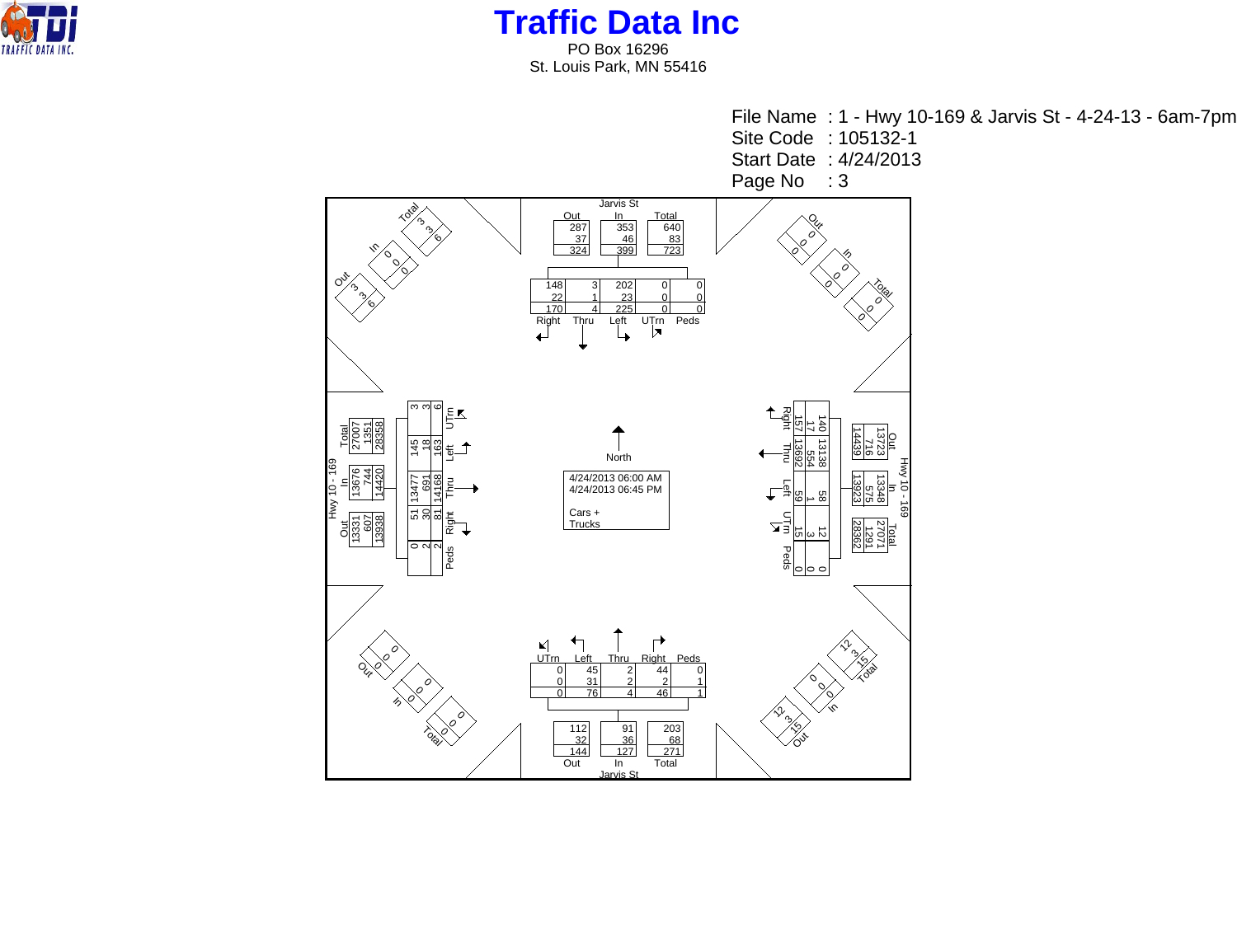